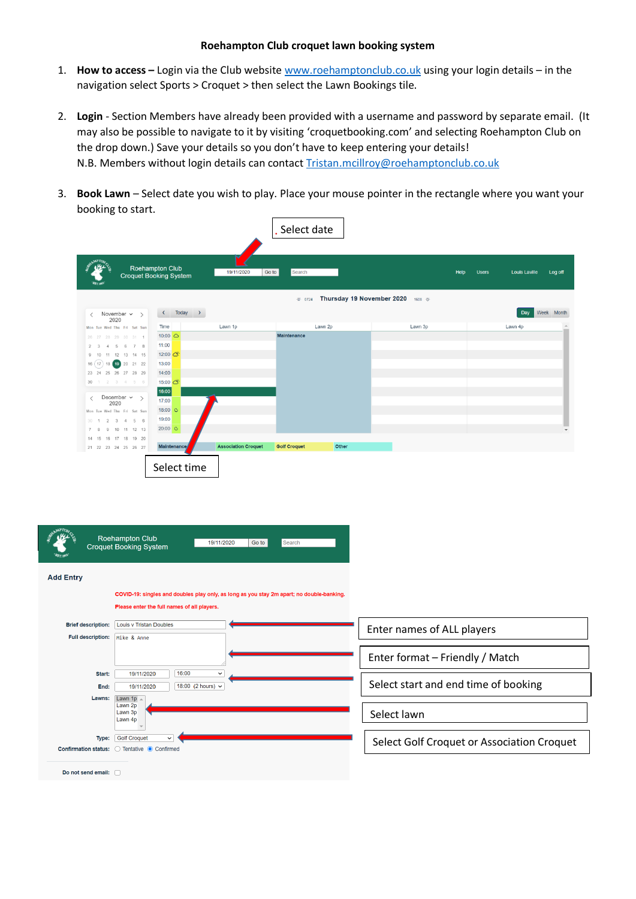## **Roehampton Club croquet lawn booking system**

- 1. **How to access –** Login via the Club website [www.roehamptonclub.co.uk](http://www.roehamptonclub.co.uk/) using your login details in the navigation select Sports > Croquet > then select the Lawn Bookings tile.
- 2. **Login** Section Members have already been provided with a username and password by separate email. (It may also be possible to navigate to it by visiting 'croquetbooking.com' and selecting Roehampton Club on the drop down.) Save your details so you don't have to keep entering your details! N.B. Members without login details can contact [Tristan.mcillroy@roehamptonclub.co.uk](mailto:Tristan.mcillroy@roehamptonclub.co.uk)
- $\sqrt{2\pi}$ 3. **Book Lawn** – Select date you wish to play. Place your mouse pointer in the rectangle where you want your booking to start.

| Select date                                                           |                                                         |                            |                     |                           |         |              |                                 |
|-----------------------------------------------------------------------|---------------------------------------------------------|----------------------------|---------------------|---------------------------|---------|--------------|---------------------------------|
|                                                                       | <b>Roehampton Club</b><br><b>Croquet Booking System</b> | 19/11/2020                 | Go to<br>Search     |                           | Help    | <b>Users</b> | <b>Louis Laville</b><br>Log off |
|                                                                       |                                                         |                            | ※ 0724              | Thursday 19 November 2020 | 1608 ~  |              |                                 |
| November $\sim$ ><br>$\overline{\left\langle \right\rangle }$<br>2020 | Today ><br>$\left\langle \right\rangle$                 |                            |                     |                           |         |              | Week Month<br>Day.              |
| Mon Tue Wed Thu Fri Sat Sun                                           | Time                                                    | Lawn 1p                    | Lawn 2p             |                           | Lawn 3p |              | Lawn 4p                         |
| 26 27 28 29 30 31 1                                                   | $10:00$ $\bigcirc$                                      |                            | <b>Maintenance</b>  |                           |         |              |                                 |
| 5 6 7 8<br>$2 \quad 3$<br>$\overline{4}$                              | 11:00                                                   |                            |                     |                           |         |              |                                 |
| 9 10 11 12 13 14 15                                                   | 12:00 0:                                                |                            |                     |                           |         |              |                                 |
| $16(17)18$ $19$ $20$ $21$ $22$                                        | 13:00                                                   |                            |                     |                           |         |              |                                 |
| 23  24  25  26  27  28  29                                            | 14:00                                                   |                            |                     |                           |         |              |                                 |
| 30 1 2 3 4 5 6                                                        | 15:00 0                                                 |                            |                     |                           |         |              |                                 |
|                                                                       | 16:00                                                   |                            |                     |                           |         |              |                                 |
| December $\sim$ ><br>$\langle$<br>2020                                | 17:00                                                   |                            |                     |                           |         |              |                                 |
| Mon Tue Wed Thu Fri Sat Sun                                           | 18:00 0                                                 |                            |                     |                           |         |              |                                 |
| $2 \t3 \t4 \t5 \t6$<br>$30 - 1$                                       | 19:00                                                   |                            |                     |                           |         |              |                                 |
| 10 11 12 13<br>9<br>$\mathcal{R}$                                     | $20:00$ $\bullet$                                       |                            |                     |                           |         |              | $\overline{\phantom{a}}$        |
| 14  15  16  17  18  19  20                                            |                                                         |                            |                     |                           |         |              |                                 |
| 21  22  23  24  25  26  27                                            | <b>Maintenance</b>                                      | <b>Association Croquet</b> | <b>Golf Croquet</b> | Other                     |         |              |                                 |
|                                                                       | Select time                                             |                            |                     |                           |         |              |                                 |

|                                                       | <b>Roehampton Club</b><br>19/11/2020<br>Go to<br>Search<br><b>Croquet Booking System</b>                                                 |                                            |
|-------------------------------------------------------|------------------------------------------------------------------------------------------------------------------------------------------|--------------------------------------------|
| <b>Add Entry</b>                                      |                                                                                                                                          |                                            |
|                                                       | COVID-19: singles and doubles play only, as long as you stay 2m apart; no double-banking.<br>Please enter the full names of all players. |                                            |
| <b>Brief description:</b><br><b>Full description:</b> | <b>Louis v Tristan Doubles</b><br>Mike & Anne                                                                                            | Enter names of ALL players                 |
|                                                       |                                                                                                                                          | Enter format - Friendly / Match            |
| Start:<br>End:                                        | 16:00<br>19/11/2020<br>$\check{ }$<br>18:00 (2 hours) $\sim$<br>19/11/2020                                                               | Select start and end time of booking       |
| Lawns:                                                | Lawn 1p $\overline{\triangle}$<br>Lawn 2p<br>Lawn 3p<br>Lawn 4p                                                                          | Select lawn                                |
| Type:                                                 | <b>Golf Croquet</b><br>$\checkmark$<br>Confirmation status: O Tentative O Confirmed                                                      | Select Golf Croquet or Association Croquet |
| Do not send email: no                                 |                                                                                                                                          |                                            |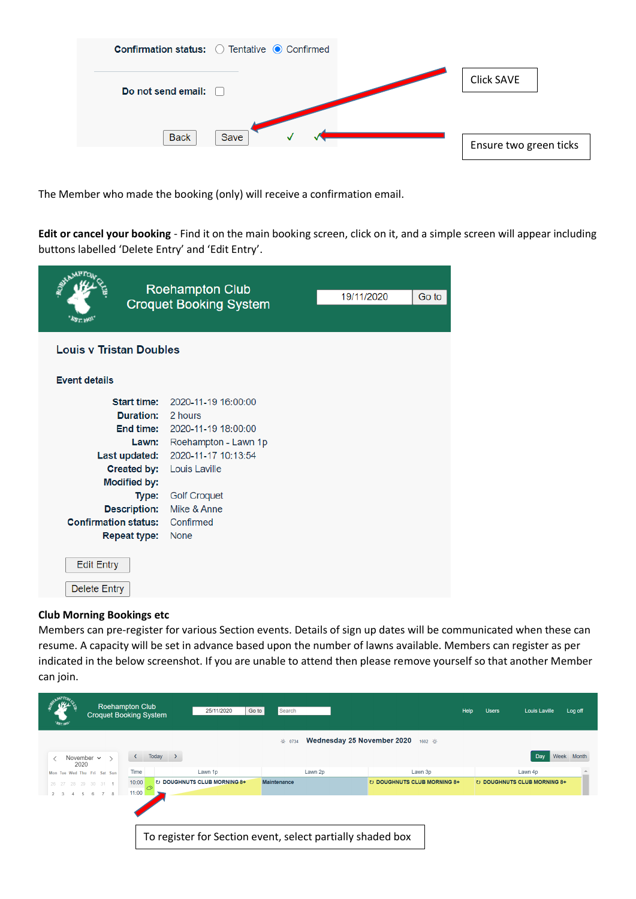| <b>Confirmation status:</b> O Tentative <b>O</b> Confirmed |                        |
|------------------------------------------------------------|------------------------|
| Do not send email:                                         | <b>Click SAVE</b>      |
| <b>Back</b><br>Save                                        | Ensure two green ticks |

The Member who made the booking (only) will receive a confirmation email.

**Edit or cancel your booking** - Find it on the main booking screen, click on it, and a simple screen will appear including buttons labelled 'Delete Entry' and 'Edit Entry'.

| <b>Roehampton Club</b><br><b>Croquet Booking System</b><br><b>AST 1901</b>                                                                                                                                       | 19/11/2020                                                                                                                                                                              | Go to |  |  |  |
|------------------------------------------------------------------------------------------------------------------------------------------------------------------------------------------------------------------|-----------------------------------------------------------------------------------------------------------------------------------------------------------------------------------------|-------|--|--|--|
| <b>Louis v Tristan Doubles</b>                                                                                                                                                                                   |                                                                                                                                                                                         |       |  |  |  |
| <b>Event details</b>                                                                                                                                                                                             |                                                                                                                                                                                         |       |  |  |  |
| <b>Start time:</b><br><b>Duration:</b><br>End time:<br>Lawn:<br>Last updated:<br><b>Created by:</b><br><b>Modified by:</b><br>Type:<br><b>Description:</b><br><b>Confirmation status:</b><br><b>Repeat type:</b> | 2020-11-19 16:00:00<br>2 hours<br>2020-11-19 18:00:00<br>Roehampton - Lawn 1p<br>2020-11-17 10:13:54<br>Louis Laville<br><b>Golf Croquet</b><br>Mike & Anne<br>Confirmed<br><b>None</b> |       |  |  |  |
| <b>Edit Entry</b><br><b>Delete Entry</b>                                                                                                                                                                         |                                                                                                                                                                                         |       |  |  |  |

## **Club Morning Bookings etc**

Members can pre-register for various Section events. Details of sign up dates will be communicated when these can resume. A capacity will be set in advance based upon the number of lawns available. Members can register as per indicated in the below screenshot. If you are unable to attend then please remove yourself so that another Member can join.

| "AST. 1901"                                    | <b>Roehampton Club</b><br><b>Croquet Booking System</b>    | 25/11/2020                  | Go to<br>Search    |         | Help                        | <b>Users</b><br>Louis Laville | Log off    |
|------------------------------------------------|------------------------------------------------------------|-----------------------------|--------------------|---------|-----------------------------|-------------------------------|------------|
| Wednesday 25 November 2020<br>1602 章<br>※ 0734 |                                                            |                             |                    |         |                             |                               |            |
| November $\sim$<br>2020                        | ≦                                                          | Today<br>$\rightarrow$      |                    |         |                             | Day                           | Week Month |
| Mon Tue Wed Thu Fri Sat Sun                    | Time                                                       | Lawn 1p                     |                    | Lawn 2p | Lawn 3p                     | Lawn 4p                       |            |
| 26 27 28 29 30 31 1                            | 10:00                                                      | U DOUGHNUTS CLUB MORNING 8+ | <b>Maintenance</b> |         | U DOUGHNUTS CLUB MORNING 8+ | U DOUGHNUTS CLUB MORNING 8+   |            |
| $\mathcal{P}$                                  | 11:00                                                      |                             |                    |         |                             |                               |            |
|                                                |                                                            |                             |                    |         |                             |                               |            |
|                                                |                                                            |                             |                    |         |                             |                               |            |
|                                                |                                                            |                             |                    |         |                             |                               |            |
|                                                | To register for Section event, select partially shaded box |                             |                    |         |                             |                               |            |